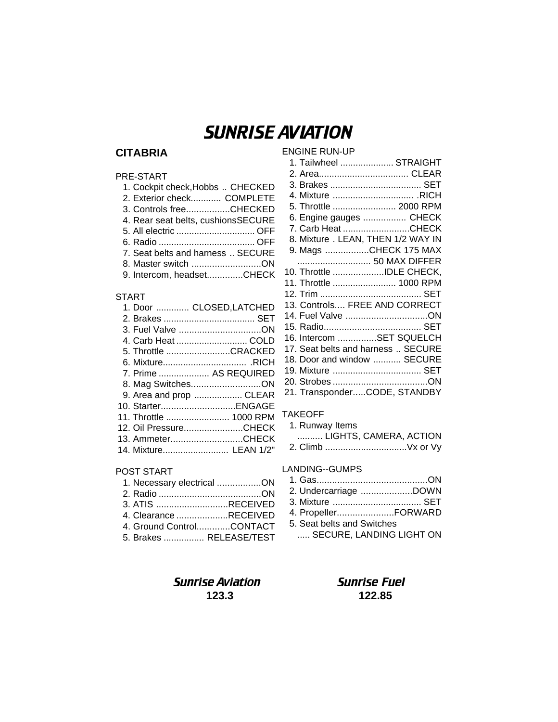# SUNRISE AVIATION

#### **CITABRIA**

#### ENGINE RUN-UP

| PRE-START                          |
|------------------------------------|
| 1. Cockpit check, Hobbs  CHECKED   |
| 2. Exterior check COMPLETE         |
| 3. Controls freeCHECKED            |
| 4. Rear seat belts, cushionsSECURE |
| 5. All electric  OFF               |
|                                    |
| 7. Seat belts and harness  SECURE  |
| 8. Master switch ON                |
| 9. Intercom, headsetCHECK          |

#### START

| 1. Door  CLOSED,LATCHED |
|-------------------------|
|                         |
| 3. Fuel Valve ON        |
| 4. Carb Heat  COLD      |
| 5. Throttle CRACKED     |
|                         |
| 7. Prime  AS REQUIRED   |
| 8. Mag SwitchesON       |
| 9. Area and prop  CLEAR |
| 10. StarterENGAGE       |
| 11. Throttle  1000 RPM  |
| 12. Oil PressureCHECK   |
| 13. AmmeterCHECK        |
| 14. Mixture LEAN 1/2"   |
|                         |

#### POST START

| 1. Necessary electrical ON |  |
|----------------------------|--|
|                            |  |
| 3. ATIS RECEIVED           |  |
| 4. Clearance RECEIVED      |  |
| 4. Ground ControlCONTACT   |  |
| 5. Brakes  RELEASE/TEST    |  |

#### 1. Tailwheel ..................... STRAIGHT 2. Area................................... CLEAR 3. Brakes .................................... SET 4. Mixture ................................ .RICH 5. Throttle ......................... 2000 RPM 6. Engine gauges ................. CHECK 7. Carb Heat..........................CHECK 8. Mixture . LEAN, THEN 1/2 WAY IN 9. Mags .................CHECK 175 MAX ............................. 50 MAX DIFFER 10. Throttle ....................IDLE CHECK, 11. Throttle ......................... 1000 RPM 12. Trim ........................................ SET 13. Controls.... FREE AND CORRECT 14. Fuel Valve ................................ON 15. Radio...................................... SET 16. Intercom ...............SET SQUELCH 17. Seat belts and harness .. SECURE 18. Door and window ........... SECURE 19. Mixture ................................... SET 20. Strobes .....................................ON 21. Transponder.....CODE, STANDBY

#### TAKEOFF

| 1. Runway Items |                        |
|-----------------|------------------------|
|                 | LIGHTS, CAMERA, ACTION |
|                 |                        |

#### LANDING--GUMPS

| 2. Undercarriage DOWN      |
|----------------------------|
| 3. Mixture  SET            |
| 4. PropellerFORWARD        |
| 5. Seat belts and Switches |
| SECURE, LANDING LIGHT ON   |
|                            |

### **Sunrise Aviation Sunrise Fuel 123.3 122.85**